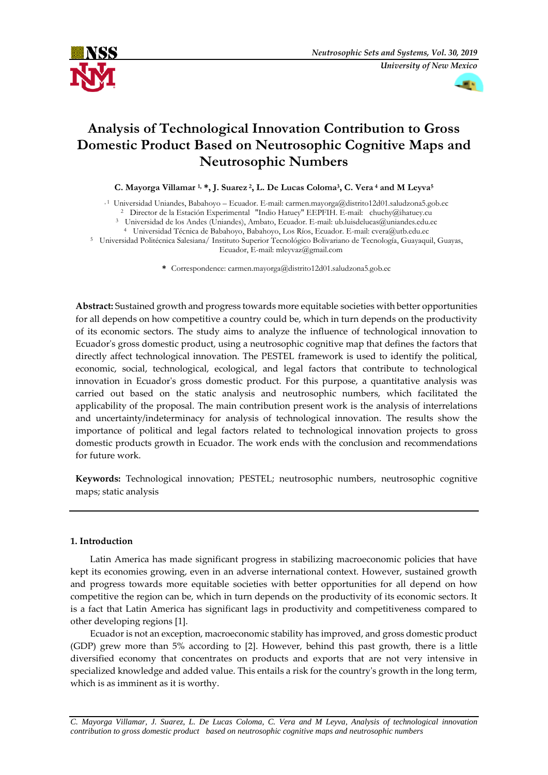



# **Analysis of Technological Innovation Contribution to Gross Domestic Product Based on Neutrosophic Cognitive Maps and Neutrosophic Numbers**

**C. Mayorga Villamar 1, \*, J. Suarez <sup>2</sup> , L. De Lucas Coloma<sup>3</sup> , C. Vera <sup>4</sup> and M Leyva<sup>5</sup>**

, 1 Universidad Uniandes, Babahoyo – Ecuador. E-mail[: carmen.mayorga@distrito12d01.saludzona5.gob.ec](mailto:carmen.mayorga@distrito12d01.saludzona5.gob.ec)

<sup>2</sup> Director de la Estación Experimental "Indio Hatuey" EEPFIH. E-mail: [chuchy@ihatuey.cu](mailto:chuchy@ihatuey.cu)

<sup>3</sup> Universidad de los Andes (Uniandes), Ambato, Ecuador. E-mail: [ub.luisdelucas@uniandes.edu.ec](mailto:ub.luisdelucas@uniandes.edu.ec)

<sup>4</sup> Universidad Técnica de Babahoyo, Babahoyo, Los Ríos, Ecuador. E-mail: [cvera@utb.edu.ec](mailto:cvera@utb.edu.ec)

<sup>5</sup> Universidad Politécnica Salesiana/ Instituto Superior Tecnológico Bolivariano de Tecnología, Guayaquil, Guayas, Ecuador, E-mail: mleyvaz@gmail.com

**\*** Correspondence: [carmen.mayorga@distrito12d01.saludzona5.gob.ec](mailto:carmen.mayorga@distrito12d01.saludzona5.gob.ec)

**Abstract:** Sustained growth and progress towards more equitable societies with better opportunities for all depends on how competitive a country could be, which in turn depends on the productivity of its economic sectors. The study aims to analyze the influence of technological innovation to Ecuador's gross domestic product, using a neutrosophic cognitive map that defines the factors that directly affect technological innovation. The PESTEL framework is used to identify the political, economic, social, technological, ecological, and legal factors that contribute to technological innovation in Ecuador's gross domestic product. For this purpose, a quantitative analysis was carried out based on the static analysis and neutrosophic numbers, which facilitated the applicability of the proposal. The main contribution present work is the analysis of interrelations and uncertainty/indeterminacy for analysis of technological innovation. The results show the importance of political and legal factors related to technological innovation projects to gross domestic products growth in Ecuador. The work ends with the conclusion and recommendations for future work.

**Keywords:** Technological innovation; PESTEL; neutrosophic numbers, neutrosophic cognitive maps; static analysis

# **1. Introduction**

Latin America has made significant progress in stabilizing macroeconomic policies that have kept its economies growing, even in an adverse international context. However, sustained growth and progress towards more equitable societies with better opportunities for all depend on how competitive the region can be, which in turn depends on the productivity of its economic sectors. It is a fact that Latin America has significant lags in productivity and competitiveness compared to other developing regions [1].

Ecuador is not an exception, macroeconomic stability has improved, and gross domestic product (GDP) grew more than 5% according to [2]. However, behind this past growth, there is a little diversified economy that concentrates on products and exports that are not very intensive in specialized knowledge and added value. This entails a risk for the country's growth in the long term, which is as imminent as it is worthy.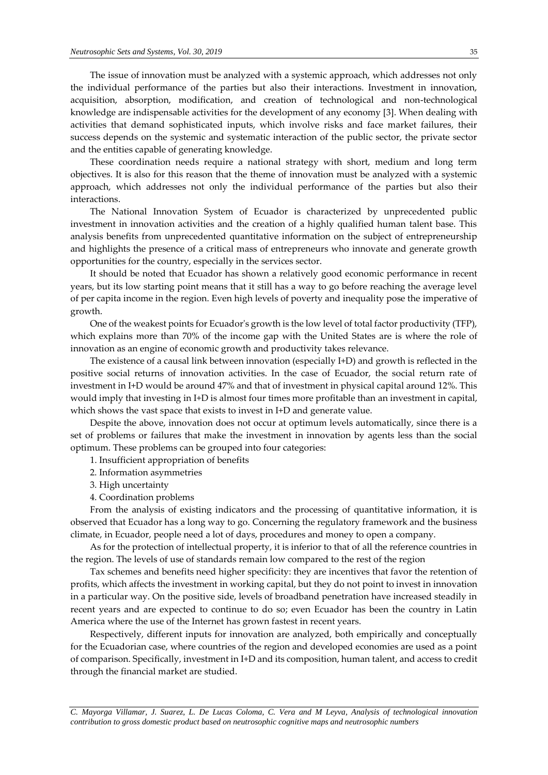The issue of innovation must be analyzed with a systemic approach, which addresses not only the individual performance of the parties but also their interactions. Investment in innovation, acquisition, absorption, modification, and creation of technological and non-technological knowledge are indispensable activities for the development of any economy [3]. When dealing with activities that demand sophisticated inputs, which involve risks and face market failures, their success depends on the systemic and systematic interaction of the public sector, the private sector and the entities capable of generating knowledge.

These coordination needs require a national strategy with short, medium and long term objectives. It is also for this reason that the theme of innovation must be analyzed with a systemic approach, which addresses not only the individual performance of the parties but also their interactions.

The National Innovation System of Ecuador is characterized by unprecedented public investment in innovation activities and the creation of a highly qualified human talent base. This analysis benefits from unprecedented quantitative information on the subject of entrepreneurship and highlights the presence of a critical mass of entrepreneurs who innovate and generate growth opportunities for the country, especially in the services sector.

It should be noted that Ecuador has shown a relatively good economic performance in recent years, but its low starting point means that it still has a way to go before reaching the average level of per capita income in the region. Even high levels of poverty and inequality pose the imperative of growth.

One of the weakest points for Ecuador's growth is the low level of total factor productivity (TFP), which explains more than 70% of the income gap with the United States are is where the role of innovation as an engine of economic growth and productivity takes relevance.

The existence of a causal link between innovation (especially I+D) and growth is reflected in the positive social returns of innovation activities. In the case of Ecuador, the social return rate of investment in I+D would be around 47% and that of investment in physical capital around 12%. This would imply that investing in I+D is almost four times more profitable than an investment in capital, which shows the vast space that exists to invest in I+D and generate value.

Despite the above, innovation does not occur at optimum levels automatically, since there is a set of problems or failures that make the investment in innovation by agents less than the social optimum. These problems can be grouped into four categories:

- 1. Insufficient appropriation of benefits
- 2. Information asymmetries
- 3. High uncertainty
- 4. Coordination problems

From the analysis of existing indicators and the processing of quantitative information, it is observed that Ecuador has a long way to go. Concerning the regulatory framework and the business climate, in Ecuador, people need a lot of days, procedures and money to open a company.

As for the protection of intellectual property, it is inferior to that of all the reference countries in the region. The levels of use of standards remain low compared to the rest of the region

Tax schemes and benefits need higher specificity: they are incentives that favor the retention of profits, which affects the investment in working capital, but they do not point to invest in innovation in a particular way. On the positive side, levels of broadband penetration have increased steadily in recent years and are expected to continue to do so; even Ecuador has been the country in Latin America where the use of the Internet has grown fastest in recent years.

Respectively, different inputs for innovation are analyzed, both empirically and conceptually for the Ecuadorian case, where countries of the region and developed economies are used as a point of comparison. Specifically, investment in I+D and its composition, human talent, and access to credit through the financial market are studied.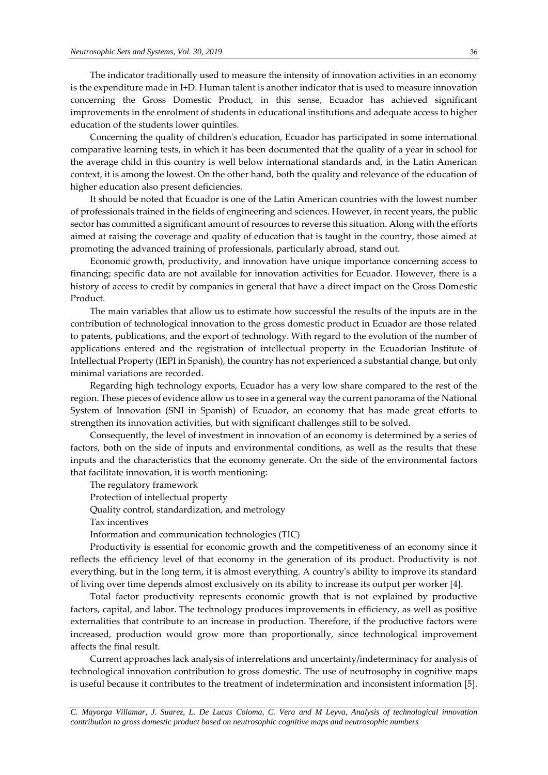The indicator traditionally used to measure the intensity of innovation activities in an economy is the expenditure made in I+D. Human talent is another indicator that is used to measure innovation concerning the Gross Domestic Product, in this sense, Ecuador has achieved significant improvements in the enrolment of students in educational institutions and adequate access to higher education of the students lower quintiles.

Concerning the quality of children's education, Ecuador has participated in some international comparative learning tests, in which it has been documented that the quality of a year in school for the average child in this country is well below international standards and, in the Latin American context, it is among the lowest. On the other hand, both the quality and relevance of the education of higher education also present deficiencies.

It should be noted that Ecuador is one of the Latin American countries with the lowest number of professionals trained in the fields of engineering and sciences. However, in recent years, the public sector has committed a significant amount of resources to reverse this situation. Along with the efforts aimed at raising the coverage and quality of education that is taught in the country, those aimed at promoting the advanced training of professionals, particularly abroad, stand out.

Economic growth, productivity, and innovation have unique importance concerning access to financing; specific data are not available for innovation activities for Ecuador. However, there is a history of access to credit by companies in general that have a direct impact on the Gross Domestic Product.

The main variables that allow us to estimate how successful the results of the inputs are in the contribution of technological innovation to the gross domestic product in Ecuador are those related to patents, publications, and the export of technology. With regard to the evolution of the number of applications entered and the registration of intellectual property in the Ecuadorian Institute of Intellectual Property (IEPI in Spanish), the country has not experienced a substantial change, but only minimal variations are recorded.

Regarding high technology exports, Ecuador has a very low share compared to the rest of the region. These pieces of evidence allow us to see in a general way the current panorama of the National System of Innovation (SNI in Spanish) of Ecuador, an economy that has made great efforts to strengthen its innovation activities, but with significant challenges still to be solved.

Consequently, the level of investment in innovation of an economy is determined by a series of factors, both on the side of inputs and environmental conditions, as well as the results that these inputs and the characteristics that the economy generate. On the side of the environmental factors that facilitate innovation, it is worth mentioning:

The regulatory framework

Protection of intellectual property

Quality control, standardization, and metrology

Tax incentives

Information and communication technologies (TIC)

Productivity is essential for economic growth and the competitiveness of an economy since it reflects the efficiency level of that economy in the generation of its product. Productivity is not everything, but in the long term, it is almost everything. A country's ability to improve its standard of living over time depends almost exclusively on its ability to increase its output per worker [4].

Total factor productivity represents economic growth that is not explained by productive factors, capital, and labor. The technology produces improvements in efficiency, as well as positive externalities that contribute to an increase in production. Therefore, if the productive factors were increased, production would grow more than proportionally, since technological improvement affects the final result.

Current approaches lack analysis of interrelations and uncertainty/indeterminacy for analysis of technological innovation contribution to gross domestic. The use of neutrosophy in cognitive maps is useful because it contributes to the treatment of indetermination and inconsistent information [5].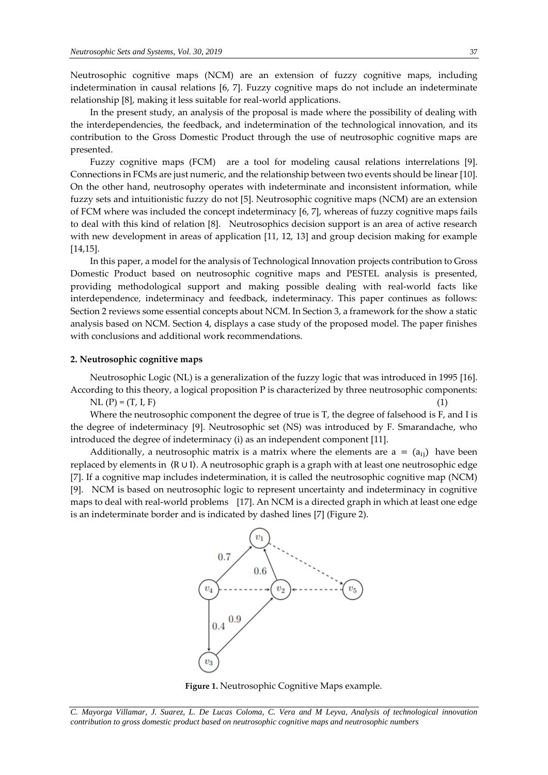Neutrosophic cognitive maps (NCM) are an extension of fuzzy cognitive maps, including indetermination in causal relations [6, 7]. Fuzzy cognitive maps do not include an indeterminate relationship [8], making it less suitable for real-world applications.

In the present study, an analysis of the proposal is made where the possibility of dealing with the interdependencies, the feedback, and indetermination of the technological innovation, and its contribution to the Gross Domestic Product through the use of neutrosophic cognitive maps are presented.

Fuzzy cognitive maps (FCM) are a tool for modeling causal relations interrelations [9]. Connections in FCMs are just numeric, and the relationship between two events should be linear [10]. On the other hand, neutrosophy operates with indeterminate and inconsistent information, while fuzzy sets and intuitionistic fuzzy do not [5]. Neutrosophic cognitive maps (NCM) are an extension of FCM where was included the concept indeterminacy [6, 7], whereas of fuzzy cognitive maps fails to deal with this kind of relation [8]. Neutrosophics decision support is an area of active research with new development in areas of application [11, 12, 13] and group decision making for example [14,15].

In this paper, a model for the analysis of Technological Innovation projects contribution to Gross Domestic Product based on neutrosophic cognitive maps and PESTEL analysis is presented, providing methodological support and making possible dealing with real-world facts like interdependence, indeterminacy and feedback, indeterminacy. This paper continues as follows: Section 2 reviews some essential concepts about NCM. In Section 3, a framework for the show a static analysis based on NCM. Section 4, displays a case study of the proposed model. The paper finishes with conclusions and additional work recommendations.

## **2. Neutrosophic cognitive maps**

Neutrosophic Logic (NL) is a generalization of the fuzzy logic that was introduced in 1995 [16]. According to this theory, a logical proposition P is characterized by three neutrosophic components:

 $NL (P) = (T, I, F)$  (1)

Where the neutrosophic component the degree of true is T, the degree of falsehood is F, and I is the degree of indeterminacy [9]. Neutrosophic set (NS) was introduced by F. Smarandache, who introduced the degree of indeterminacy (i) as an independent component [11].

Additionally, a neutrosophic matrix is a matrix where the elements are  $a = (a_{ii})$  have been replaced by elements in 〈R ∪ I〉. A neutrosophic graph is a graph with at least one neutrosophic edge [7]. If a cognitive map includes indetermination, it is called the neutrosophic cognitive map (NCM) [9]. NCM is based on neutrosophic logic to represent uncertainty and indeterminacy in cognitive maps to deal with real-world problems [17]. An NCM is a directed graph in which at least one edge is an indeterminate border and is indicated by dashed lines [7] (Figure 2).





*C. Mayorga Villamar, J. Suarez, L. De Lucas Coloma, C. Vera and M Leyva, Analysis of technological innovation contribution to gross domestic product based on neutrosophic cognitive maps and neutrosophic numbers*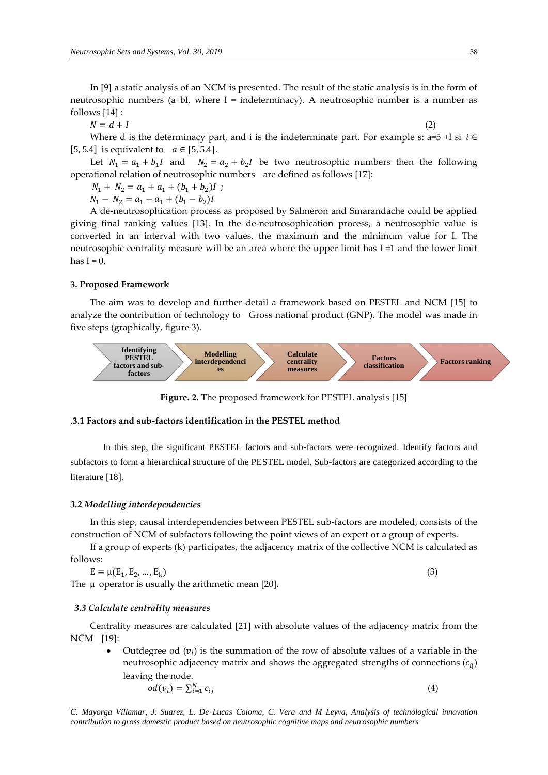In [9] a static analysis of an NCM is presented. The result of the static analysis is in the form of neutrosophic numbers (a+bI, where  $I =$  indeterminacy). A neutrosophic number is a number as follows [14] :

 $N = d + I$  (2)

Where d is the determinacy part, and i is the indeterminate part. For example s: a=5 +I si  $i \in$ [5, 5.4] is equivalent to  $a \in [5, 5.4]$ .

Let  $N_1 = a_1 + b_1 I$  and  $N_2 = a_2 + b_2 I$  be two neutrosophic numbers then the following operational relation of neutrosophic numbers are defined as follows [17]:

 $N_1 + N_2 = a_1 + a_1 + (b_1 + b_2)I$ ;

 $N_1 - N_2 = a_1 - a_1 + (b_1 - b_2)I$ 

A de-neutrosophication process as proposed by Salmeron and Smarandache could be applied giving final ranking values [13]. In the de-neutrosophication process, a neutrosophic value is converted in an interval with two values, the maximum and the minimum value for I. The neutrosophic centrality measure will be an area where the upper limit has I =1 and the lower limit has  $I = 0$ .

## **3. Proposed Framework**

The aim was to develop and further detail a framework based on PESTEL and NCM [15] to analyze the contribution of technology to Gross national product (GNP). The model was made in five steps (graphically, figure 3).



**Figure. 2.** The proposed framework for PESTEL analysis [15]

# .**3.1 Factors and sub-factors identification in the PESTEL method**

In this step, the significant PESTEL factors and sub-factors were recognized. Identify factors and subfactors to form a hierarchical structure of the PESTEL model. Sub-factors are categorized according to the literature [18].

### *3.2 Modelling interdependencies*

In this step, causal interdependencies between PESTEL sub-factors are modeled, consists of the construction of NCM of subfactors following the point views of an expert or a group of experts.

If a group of experts (k) participates, the adjacency matrix of the collective NCM is calculated as follows:

$$
E = \mu(E_1, E_2, ..., E_k)
$$
  
The  $\mu$  operator is usually the arithmetic mean [20]. (3)

#### *3.3 Calculate centrality measures*

Centrality measures are calculated [21] with absolute values of the adjacency matrix from the NCM [19]:

• Outdegree od  $(v_i)$  is the summation of the row of absolute values of a variable in the neutrosophic adjacency matrix and shows the aggregated strengths of connections  $(c_{ij})$ leaving the node.

$$
od(v_i) = \sum_{i=1}^{N} c_{ij}
$$
\n<sup>(4)</sup>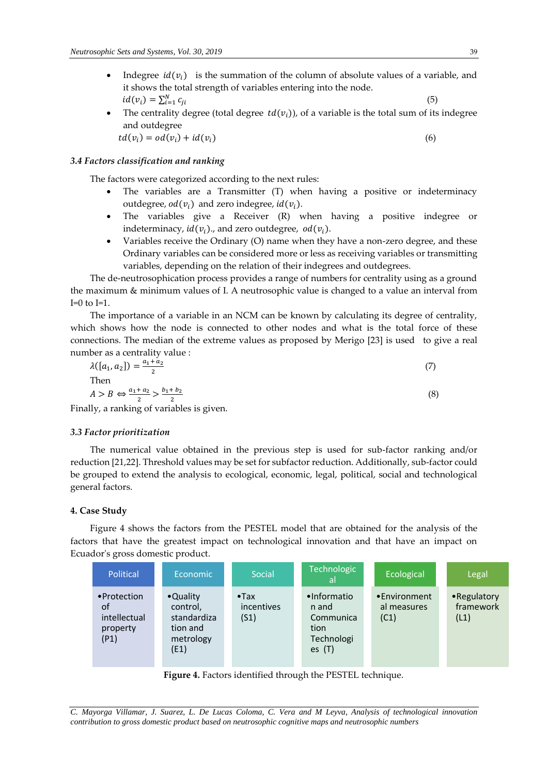- Indegree  $id(v_i)$  is the summation of the column of absolute values of a variable, and it shows the total strength of variables entering into the node.  $id(v_i) = \sum_{i=1}^{N} c_{ji}$ (5)
- The centrality degree (total degree  $td(v_i)$ ), of a variable is the total sum of its indegree and outdegree  $td(v_i) = od(v_i) + id(v_i)$  (6)

## *3.4 Factors classification and ranking*

The factors were categorized according to the next rules:

- The variables are a Transmitter (T) when having a positive or indeterminacy outdegree,  $od(v_i)$  and zero indegree,  $id(v_i)$ .
- The variables give a Receiver (R) when having a positive indegree or indeterminacy,  $id(v_i)$ ., and zero outdegree,  $od(v_i)$ .
- Variables receive the Ordinary (O) name when they have a non-zero degree, and these Ordinary variables can be considered more or less as receiving variables or transmitting variables, depending on the relation of their indegrees and outdegrees.

The de-neutrosophication process provides a range of numbers for centrality using as a ground the maximum & minimum values of I. A neutrosophic value is changed to a value an interval from  $I=0$  to  $I=1$ .

The importance of a variable in an NCM can be known by calculating its degree of centrality, which shows how the node is connected to other nodes and what is the total force of these connections. The median of the extreme values as proposed by Merigo [23] is used to give a real number as a centrality value :

| $\lambda([a_1, a_2]) = \frac{a_1 + a_2}{2}$                       |  |
|-------------------------------------------------------------------|--|
| Then                                                              |  |
| $A > B \Leftrightarrow \frac{a_1 + a_2}{2} > \frac{b_1 + b_2}{2}$ |  |
| Finally, a ranking of variables is given.                         |  |

# *3.3 Factor prioritization*

The numerical value obtained in the previous step is used for sub-factor ranking and/or reduction [21,22]. Threshold values may be set for subfactor reduction. Additionally, sub-factor could be grouped to extend the analysis to ecological, economic, legal, political, social and technological general factors.

## **4. Case Study**

Figure 4 shows the factors from the PESTEL model that are obtained for the analysis of the factors that have the greatest impact on technological innovation and that have an impact on Ecuador's gross domestic product.

| Political                                              | Economic                                                             | Social                              | <b>Technologic</b><br>l all                                         | Ecological                          | Legal                             |
|--------------------------------------------------------|----------------------------------------------------------------------|-------------------------------------|---------------------------------------------------------------------|-------------------------------------|-----------------------------------|
| • Protection<br>of<br>intellectual<br>property<br>(P1) | •Quality<br>control,<br>standardiza<br>tion and<br>metrology<br>(E1) | $\bullet$ Tax<br>incentives<br>(S1) | •Informatio<br>n and<br>Communica<br>tion<br>Technologi<br>es $(T)$ | •Environment<br>al measures<br>(C1) | • Regulatory<br>framework<br>(L1) |

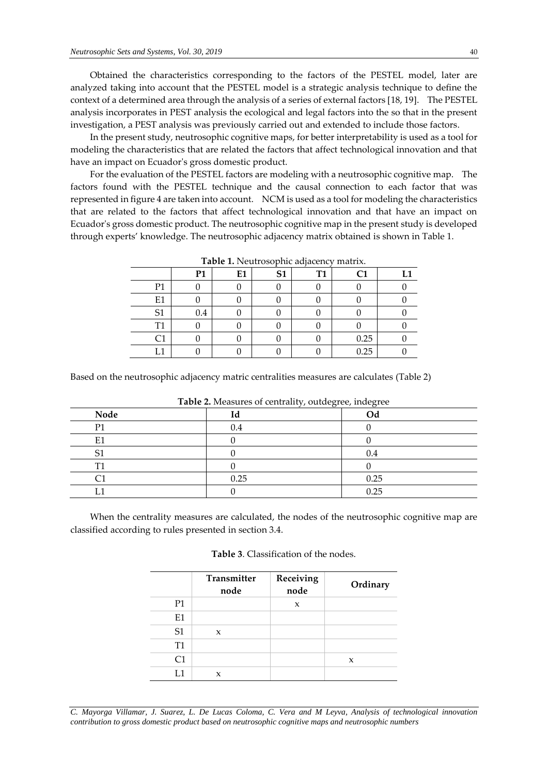Obtained the characteristics corresponding to the factors of the PESTEL model, later are analyzed taking into account that the PESTEL model is a strategic analysis technique to define the context of a determined area through the analysis of a series of external factors [18, 19]. The PESTEL analysis incorporates in PEST analysis the ecological and legal factors into the so that in the present investigation, a PEST analysis was previously carried out and extended to include those factors.

In the present study, neutrosophic cognitive maps, for better interpretability is used as a tool for modeling the characteristics that are related the factors that affect technological innovation and that have an impact on Ecuador's gross domestic product.

For the evaluation of the PESTEL factors are modeling with a neutrosophic cognitive map. The factors found with the PESTEL technique and the causal connection to each factor that was represented in figure 4 are taken into account. NCM is used as a tool for modeling the characteristics that are related to the factors that affect technological innovation and that have an impact on Ecuador's gross domestic product. The neutrosophic cognitive map in the present study is developed through experts' knowledge. The neutrosophic adjacency matrix obtained is shown in Table 1.

|                |                |    |                |           | -------        |     |
|----------------|----------------|----|----------------|-----------|----------------|-----|
|                | P <sub>1</sub> | E1 | S <sub>1</sub> | <b>T1</b> | C <sub>1</sub> | T 1 |
| P <sub>1</sub> |                |    |                |           |                |     |
| E1             |                |    |                |           |                |     |
| S <sub>1</sub> | 0.4            |    |                |           |                |     |
| T <sub>1</sub> |                |    |                |           |                |     |
| С1             |                |    |                |           | 0.25           |     |
| ຳ              |                |    |                |           | 0.25           |     |

**Table 1.** Neutrosophic adjacency matrix.

Based on the neutrosophic adjacency matric centralities measures are calculates (Table 2)

| <b>Table 2.</b> Measures of centrality, outdegree, indegree |      |      |  |
|-------------------------------------------------------------|------|------|--|
| Node                                                        | Id   | Od   |  |
| D1                                                          | 0.4  |      |  |
| E1                                                          |      |      |  |
|                                                             |      | 0.4  |  |
| T1                                                          |      |      |  |
|                                                             | 0.25 | 0.25 |  |
|                                                             |      | 0.25 |  |

**Table 2.** Measures of centrality, outdegree, indegree

When the centrality measures are calculated, the nodes of the neutrosophic cognitive map are classified according to rules presented in section 3.4.

| <b>Table 3.</b> Classification of the nodes. |  |  |
|----------------------------------------------|--|--|
|                                              |  |  |

|                | Transmitter<br>node | Receiving<br>node | Ordinary |
|----------------|---------------------|-------------------|----------|
| P <sub>1</sub> |                     | X                 |          |
| E1             |                     |                   |          |
| S <sub>1</sub> | $\mathbf{x}$        |                   |          |
| T <sub>1</sub> |                     |                   |          |
| C1             |                     |                   | X        |
| I 1            | x                   |                   |          |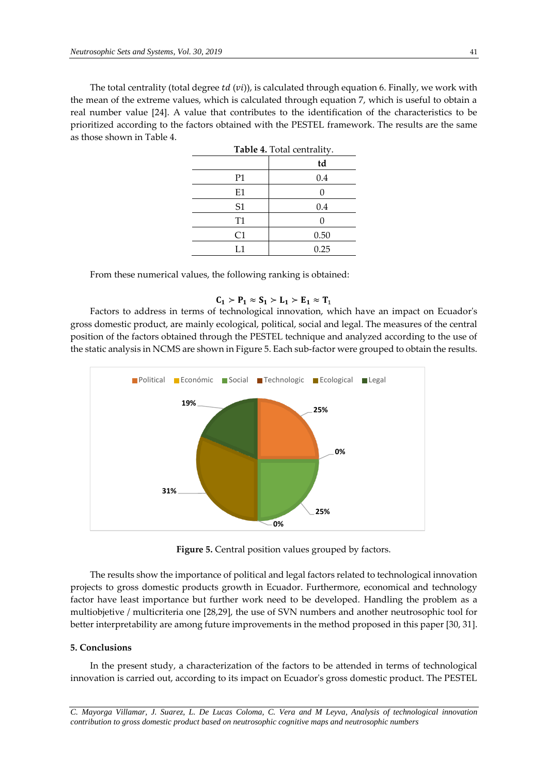The total centrality (total degree  $td(vi)$ ), is calculated through equation 6. Finally, we work with the mean of the extreme values, which is calculated through equation 7, which is useful to obtain a real number value [24]. A value that contributes to the identification of the characteristics to be prioritized according to the factors obtained with the PESTEL framework. The results are the same as those shown in Table 4.

| <b>Table 4.</b> Total centrality. |      |  |  |
|-----------------------------------|------|--|--|
|                                   | td   |  |  |
| P <sub>1</sub>                    | 0.4  |  |  |
| E1                                |      |  |  |
| S1                                | 0.4  |  |  |
| T1                                | O    |  |  |
| C <sub>1</sub>                    | 0.50 |  |  |
| L1                                | 0.25 |  |  |

From these numerical values, the following ranking is obtained:

# $C_1 > P_1 \approx S_1 > L_1 > E_1 \approx T_1$

Factors to address in terms of technological innovation, which have an impact on Ecuador's gross domestic product, are mainly ecological, political, social and legal. The measures of the central position of the factors obtained through the PESTEL technique and analyzed according to the use of the static analysis in NCMS are shown in Figure 5. Each sub-factor were grouped to obtain the results.



**Figure 5.** Central position values grouped by factors.

The results show the importance of political and legal factors related to technological innovation projects to gross domestic products growth in Ecuador. Furthermore, economical and technology factor have least importance but further work need to be developed. Handling the problem as a multiobjetive / multicriteria one [28,29], the use of SVN numbers and another neutrosophic tool for better interpretability are among future improvements in the method proposed in this paper [30, 31].

## **5. Conclusions**

In the present study, a characterization of the factors to be attended in terms of technological innovation is carried out, according to its impact on Ecuador's gross domestic product. The PESTEL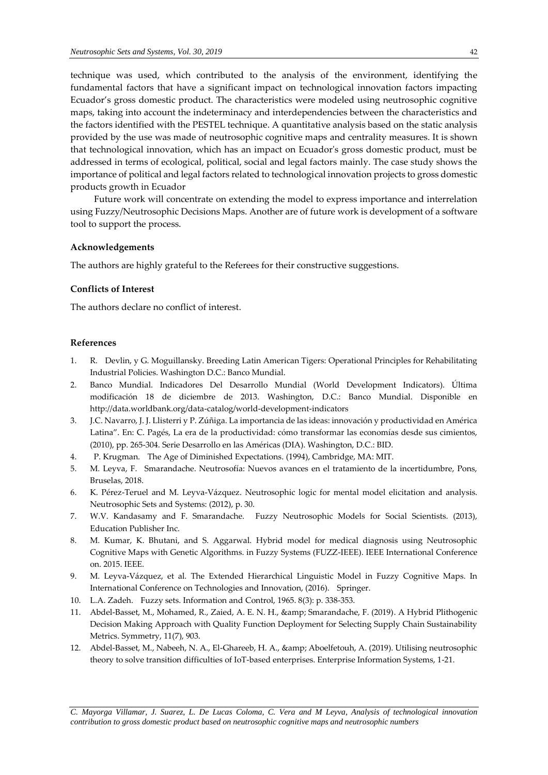technique was used, which contributed to the analysis of the environment, identifying the fundamental factors that have a significant impact on technological innovation factors impacting Ecuador's gross domestic product. The characteristics were modeled using neutrosophic cognitive maps, taking into account the indeterminacy and interdependencies between the characteristics and the factors identified with the PESTEL technique. A quantitative analysis based on the static analysis provided by the use was made of neutrosophic cognitive maps and centrality measures. It is shown that technological innovation, which has an impact on Ecuador's gross domestic product, must be addressed in terms of ecological, political, social and legal factors mainly. The case study shows the importance of political and legal factors related to technological innovation projects to gross domestic products growth in Ecuador

Future work will concentrate on extending the model to express importance and interrelation using Fuzzy/Neutrosophic Decisions Maps. Another are of future work is development of a software tool to support the process.

## **Acknowledgements**

The authors are highly grateful to the Referees for their constructive suggestions.

## **Conflicts of Interest**

The authors declare no conflict of interest.

## **References**

- 1. R. Devlin, y G. Moguillansky. Breeding Latin American Tigers: Operational Principles for Rehabilitating Industrial Policies. Washington D.C.: Banco Mundial.
- 2. Banco Mundial. Indicadores Del Desarrollo Mundial (World Development Indicators). Última modificación 18 de diciembre de 2013. Washington, D.C.: Banco Mundial. Disponible en http://data.worldbank.org/data-catalog/world-development-indicators
- 3. J.C. Navarro, J. J. Llisterri y P. Zúñiga. La importancia de las ideas: innovación y productividad en América Latina". En: C. Pagés, La era de la productividad: cómo transformar las economías desde sus cimientos, (2010), pp. 265-304. Serie Desarrollo en las Américas (DIA). Washington, D.C.: BID.
- 4. P. Krugman. The Age of Diminished Expectations. (1994), Cambridge, MA: MIT.
- 5. M. Leyva, F. Smarandache. Neutrosofía: Nuevos avances en el tratamiento de la incertidumbre, Pons, Bruselas, 2018.
- 6. K. Pérez-Teruel and M. Leyva-Vázquez. Neutrosophic logic for mental model elicitation and analysis. Neutrosophic Sets and Systems: (2012), p. 30.
- 7. W.V. Kandasamy and F. Smarandache. Fuzzy Neutrosophic Models for Social Scientists. (2013), Education Publisher Inc.
- 8. M. Kumar, K. Bhutani, and S. Aggarwal. Hybrid model for medical diagnosis using Neutrosophic Cognitive Maps with Genetic Algorithms. in Fuzzy Systems (FUZZ-IEEE). IEEE International Conference on. 2015. IEEE.
- 9. M. Leyva-Vázquez, et al. The Extended Hierarchical Linguistic Model in Fuzzy Cognitive Maps. In International Conference on Technologies and Innovation, (2016). Springer.
- 10. L.A. Zadeh. Fuzzy sets. Information and Control, 1965. 8(3): p. 338-353.
- 11. Abdel-Basset, M., Mohamed, R., Zaied, A. E. N. H., & amp; Smarandache, F. (2019). A Hybrid Plithogenic Decision Making Approach with Quality Function Deployment for Selecting Supply Chain Sustainability Metrics. Symmetry, 11(7), 903.
- 12. Abdel-Basset, M., Nabeeh, N. A., El-Ghareeb, H. A., & amp; Aboelfetouh, A. (2019). Utilising neutrosophic theory to solve transition difficulties of IoT-based enterprises. Enterprise Information Systems, 1-21.